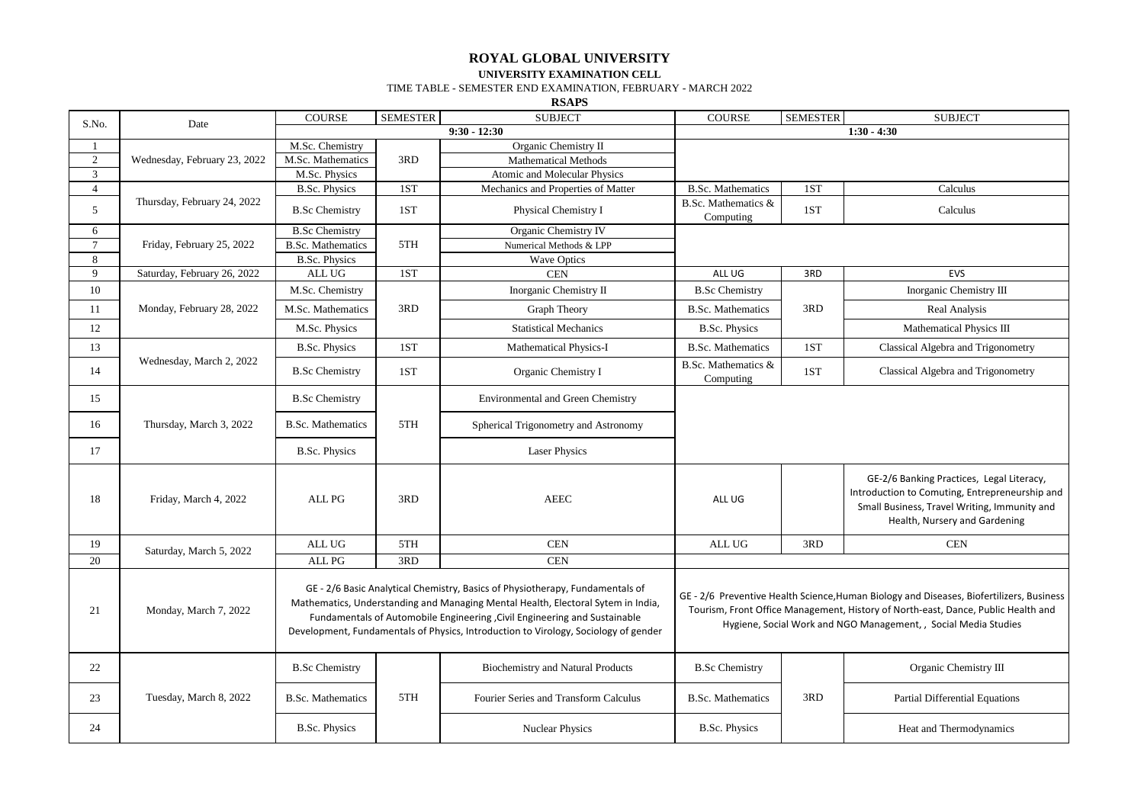## **ROYAL GLOBAL UNIVERSITY UNIVERSITY EXAMINATION CELL**

## TIME TABLE - SEMESTER END EXAMINATION, FEBRUARY - MARCH 2022

**RSAPS**

|                |                              |                          |                 | <b>AWIALU</b>                                                                                                                                                                                                                                                                                                                         |                                                                                                                                                                                                                                                  |                 |                                                                                                                                                                              |
|----------------|------------------------------|--------------------------|-----------------|---------------------------------------------------------------------------------------------------------------------------------------------------------------------------------------------------------------------------------------------------------------------------------------------------------------------------------------|--------------------------------------------------------------------------------------------------------------------------------------------------------------------------------------------------------------------------------------------------|-----------------|------------------------------------------------------------------------------------------------------------------------------------------------------------------------------|
| S.No.          | Date                         | <b>COURSE</b>            | <b>SEMESTER</b> | <b>SUBJECT</b>                                                                                                                                                                                                                                                                                                                        | COURSE                                                                                                                                                                                                                                           | <b>SEMESTER</b> | <b>SUBJECT</b>                                                                                                                                                               |
|                |                              |                          |                 | $9:30 - 12:30$                                                                                                                                                                                                                                                                                                                        | $1:30 - 4:30$                                                                                                                                                                                                                                    |                 |                                                                                                                                                                              |
| 1              | Wednesday, February 23, 2022 | M.Sc. Chemistry          |                 | Organic Chemistry II                                                                                                                                                                                                                                                                                                                  |                                                                                                                                                                                                                                                  |                 |                                                                                                                                                                              |
| $\overline{2}$ |                              | M.Sc. Mathematics        | 3RD             | <b>Mathematical Methods</b>                                                                                                                                                                                                                                                                                                           |                                                                                                                                                                                                                                                  |                 |                                                                                                                                                                              |
| 3              |                              | M.Sc. Physics            |                 | Atomic and Molecular Physics                                                                                                                                                                                                                                                                                                          |                                                                                                                                                                                                                                                  |                 |                                                                                                                                                                              |
| $\overline{4}$ | Thursday, February 24, 2022  | <b>B.Sc. Physics</b>     | 1ST             | Mechanics and Properties of Matter                                                                                                                                                                                                                                                                                                    | <b>B.Sc. Mathematics</b>                                                                                                                                                                                                                         | 1ST             | Calculus                                                                                                                                                                     |
| 5              |                              | <b>B.Sc Chemistry</b>    | 1ST             | Physical Chemistry I                                                                                                                                                                                                                                                                                                                  | B.Sc. Mathematics &<br>Computing                                                                                                                                                                                                                 | 1ST             | Calculus                                                                                                                                                                     |
| 6              | Friday, February 25, 2022    | <b>B.Sc Chemistry</b>    | 5TH             | Organic Chemistry IV                                                                                                                                                                                                                                                                                                                  |                                                                                                                                                                                                                                                  |                 |                                                                                                                                                                              |
| $\tau$         |                              | <b>B.Sc. Mathematics</b> |                 | Numerical Methods & LPP                                                                                                                                                                                                                                                                                                               |                                                                                                                                                                                                                                                  |                 |                                                                                                                                                                              |
| 8              |                              | <b>B.Sc. Physics</b>     |                 | <b>Wave Optics</b>                                                                                                                                                                                                                                                                                                                    |                                                                                                                                                                                                                                                  |                 |                                                                                                                                                                              |
| 9              | Saturday, February 26, 2022  | ALL UG                   | 1ST             | <b>CEN</b>                                                                                                                                                                                                                                                                                                                            | ALL UG                                                                                                                                                                                                                                           | 3RD             | EVS                                                                                                                                                                          |
| 10             |                              | M.Sc. Chemistry          | 3RD             | Inorganic Chemistry II                                                                                                                                                                                                                                                                                                                | <b>B.Sc Chemistry</b>                                                                                                                                                                                                                            |                 | Inorganic Chemistry III                                                                                                                                                      |
| 11             | Monday, February 28, 2022    | M.Sc. Mathematics        |                 | Graph Theory                                                                                                                                                                                                                                                                                                                          | <b>B.Sc. Mathematics</b>                                                                                                                                                                                                                         | 3RD             | Real Analysis                                                                                                                                                                |
| 12             |                              | M.Sc. Physics            |                 | <b>Statistical Mechanics</b>                                                                                                                                                                                                                                                                                                          | <b>B.Sc. Physics</b>                                                                                                                                                                                                                             |                 | Mathematical Physics III                                                                                                                                                     |
| 13             |                              | <b>B.Sc. Physics</b>     | 1ST             | Mathematical Physics-I                                                                                                                                                                                                                                                                                                                | <b>B.Sc. Mathematics</b>                                                                                                                                                                                                                         | 1ST             | Classical Algebra and Trigonometry                                                                                                                                           |
| 14             | Wednesday, March 2, 2022     | <b>B.Sc Chemistry</b>    | 1ST             | Organic Chemistry I                                                                                                                                                                                                                                                                                                                   | B.Sc. Mathematics &<br>Computing                                                                                                                                                                                                                 | 1ST             | Classical Algebra and Trigonometry                                                                                                                                           |
| 15             | Thursday, March 3, 2022      | <b>B.Sc Chemistry</b>    | 5TH             | <b>Environmental and Green Chemistry</b>                                                                                                                                                                                                                                                                                              |                                                                                                                                                                                                                                                  |                 |                                                                                                                                                                              |
| 16             |                              | <b>B.Sc. Mathematics</b> |                 | Spherical Trigonometry and Astronomy                                                                                                                                                                                                                                                                                                  |                                                                                                                                                                                                                                                  |                 |                                                                                                                                                                              |
| 17             |                              | <b>B.Sc. Physics</b>     |                 | <b>Laser Physics</b>                                                                                                                                                                                                                                                                                                                  |                                                                                                                                                                                                                                                  |                 |                                                                                                                                                                              |
| 18             | Friday, March 4, 2022        | ALL PG                   | 3RD             | <b>AEEC</b>                                                                                                                                                                                                                                                                                                                           | ALL UG                                                                                                                                                                                                                                           |                 | GE-2/6 Banking Practices, Legal Literacy,<br>Introduction to Comuting, Entrepreneurship and<br>Small Business, Travel Writing, Immunity and<br>Health, Nursery and Gardening |
| 19             |                              | ALL UG                   | 5TH             | <b>CEN</b>                                                                                                                                                                                                                                                                                                                            | ALL UG                                                                                                                                                                                                                                           | 3RD             | <b>CEN</b>                                                                                                                                                                   |
| 20             | Saturday, March 5, 2022      | ALL PG                   | 3RD             | <b>CEN</b>                                                                                                                                                                                                                                                                                                                            |                                                                                                                                                                                                                                                  |                 |                                                                                                                                                                              |
| 21             | Monday, March 7, 2022        |                          |                 | GE - 2/6 Basic Analytical Chemistry, Basics of Physiotherapy, Fundamentals of<br>Mathematics, Understanding and Managing Mental Health, Electoral Sytem in India,<br>Fundamentals of Automobile Engineering, Civil Engineering and Sustainable<br>Development, Fundamentals of Physics, Introduction to Virology, Sociology of gender | GE - 2/6 Preventive Health Science, Human Biology and Diseases, Biofertilizers, Business<br>Tourism, Front Office Management, History of North-east, Dance, Public Health and<br>Hygiene, Social Work and NGO Management, , Social Media Studies |                 |                                                                                                                                                                              |
| 22             |                              | <b>B.Sc Chemistry</b>    |                 | <b>Biochemistry and Natural Products</b>                                                                                                                                                                                                                                                                                              | <b>B.Sc Chemistry</b>                                                                                                                                                                                                                            |                 | Organic Chemistry III                                                                                                                                                        |
| 23             | Tuesday, March 8, 2022       | <b>B.Sc. Mathematics</b> | 5TH             | Fourier Series and Transform Calculus                                                                                                                                                                                                                                                                                                 | <b>B.Sc. Mathematics</b>                                                                                                                                                                                                                         | 3RD             | <b>Partial Differential Equations</b>                                                                                                                                        |
| 24             |                              | <b>B.Sc. Physics</b>     |                 | <b>Nuclear Physics</b>                                                                                                                                                                                                                                                                                                                | <b>B.Sc. Physics</b>                                                                                                                                                                                                                             |                 | Heat and Thermodynamics                                                                                                                                                      |